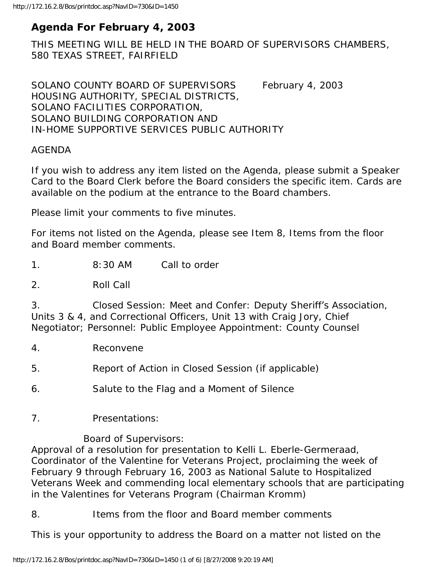# **Agenda For February 4, 2003**

THIS MEETING WILL BE HELD IN THE BOARD OF SUPERVISORS CHAMBERS, 580 TEXAS STREET, FAIRFIELD

SOLANO COUNTY BOARD OF SUPERVISORS February 4, 2003 HOUSING AUTHORITY, SPECIAL DISTRICTS, SOLANO FACILITIES CORPORATION, SOLANO BUILDING CORPORATION AND IN-HOME SUPPORTIVE SERVICES PUBLIC AUTHORITY

### AGENDA

If you wish to address any item listed on the Agenda, please submit a Speaker Card to the Board Clerk before the Board considers the specific item. Cards are available on the podium at the entrance to the Board chambers.

Please limit your comments to five minutes.

For items not listed on the Agenda, please see Item 8, Items from the floor and Board member comments.

1. 8:30 AM Call to order

2. Roll Call

3. Closed Session: Meet and Confer: Deputy Sheriff's Association, Units 3 & 4, and Correctional Officers, Unit 13 with Craig Jory, Chief Negotiator; Personnel: Public Employee Appointment: County Counsel

4. Reconvene

5. Report of Action in Closed Session (if applicable)

6. Salute to the Flag and a Moment of Silence

7. Presentations:

Board of Supervisors:

Approval of a resolution for presentation to Kelli L. Eberle-Germeraad, Coordinator of the Valentine for Veterans Project, proclaiming the week of February 9 through February 16, 2003 as National Salute to Hospitalized Veterans Week and commending local elementary schools that are participating in the Valentines for Veterans Program (Chairman Kromm)

8. Items from the floor and Board member comments

This is your opportunity to address the Board on a matter not listed on the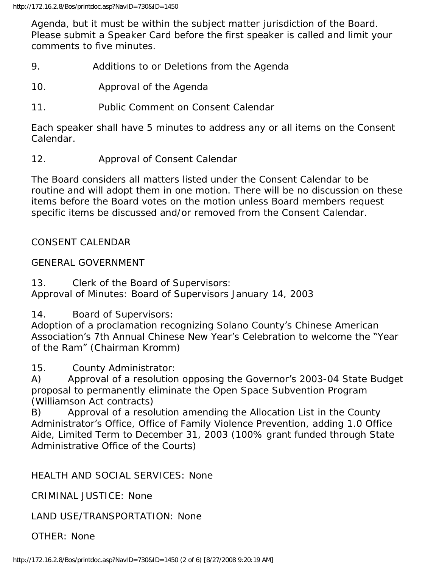Agenda, but it must be within the subject matter jurisdiction of the Board. Please submit a Speaker Card before the first speaker is called and limit your comments to five minutes.

- 9. Additions to or Deletions from the Agenda
- 10. Approval of the Agenda
- 11. Public Comment on Consent Calendar

Each speaker shall have 5 minutes to address any or all items on the Consent Calendar.

12. Approval of Consent Calendar

The Board considers all matters listed under the Consent Calendar to be routine and will adopt them in one motion. There will be no discussion on these items before the Board votes on the motion unless Board members request specific items be discussed and/or removed from the Consent Calendar.

CONSENT CALENDAR

### GENERAL GOVERNMENT

13. Clerk of the Board of Supervisors: Approval of Minutes: Board of Supervisors January 14, 2003

14. Board of Supervisors:

Adoption of a proclamation recognizing Solano County's Chinese American Association's 7th Annual Chinese New Year's Celebration to welcome the "Year of the Ram" (Chairman Kromm)

15. County Administrator:

A) Approval of a resolution opposing the Governor's 2003-04 State Budget proposal to permanently eliminate the Open Space Subvention Program (Williamson Act contracts)

B) Approval of a resolution amending the Allocation List in the County Administrator's Office, Office of Family Violence Prevention, adding 1.0 Office Aide, Limited Term to December 31, 2003 (100% grant funded through State Administrative Office of the Courts)

### HEALTH AND SOCIAL SERVICES: None

CRIMINAL JUSTICE: None

LAND USE/TRANSPORTATION: None

OTHER: None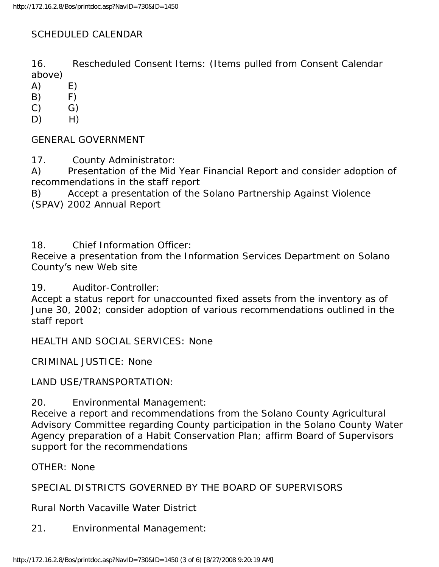## SCHEDULED CALENDAR

16. Rescheduled Consent Items: (Items pulled from Consent Calendar above)

 $(A)$   $E)$ 

- $(B)$   $F)$
- $(C)$   $G)$
- $D)$  H)

GENERAL GOVERNMENT

17. County Administrator:

A) Presentation of the Mid Year Financial Report and consider adoption of recommendations in the staff report

B) Accept a presentation of the Solano Partnership Against Violence (SPAV) 2002 Annual Report

18. Chief Information Officer:

Receive a presentation from the Information Services Department on Solano County's new Web site

19. Auditor-Controller:

Accept a status report for unaccounted fixed assets from the inventory as of June 30, 2002; consider adoption of various recommendations outlined in the staff report

HEALTH AND SOCIAL SERVICES: None

CRIMINAL JUSTICE: None

LAND USE/TRANSPORTATION:

20. Environmental Management:

Receive a report and recommendations from the Solano County Agricultural Advisory Committee regarding County participation in the Solano County Water Agency preparation of a Habit Conservation Plan; affirm Board of Supervisors support for the recommendations

OTHER: None

SPECIAL DISTRICTS GOVERNED BY THE BOARD OF SUPERVISORS

Rural North Vacaville Water District

21. Environmental Management: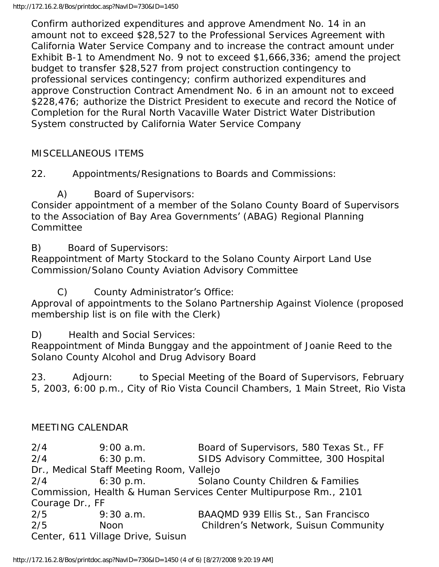Confirm authorized expenditures and approve Amendment No. 14 in an amount not to exceed \$28,527 to the Professional Services Agreement with California Water Service Company and to increase the contract amount under Exhibit B-1 to Amendment No. 9 not to exceed \$1,666,336; amend the project budget to transfer \$28,527 from project construction contingency to professional services contingency; confirm authorized expenditures and approve Construction Contract Amendment No. 6 in an amount not to exceed \$228,476; authorize the District President to execute and record the Notice of Completion for the Rural North Vacaville Water District Water Distribution System constructed by California Water Service Company

### MISCELLANEOUS ITEMS

22. Appointments/Resignations to Boards and Commissions:

A) Board of Supervisors:

Consider appointment of a member of the Solano County Board of Supervisors to the Association of Bay Area Governments' (ABAG) Regional Planning Committee

B) Board of Supervisors:

Reappointment of Marty Stockard to the Solano County Airport Land Use Commission/Solano County Aviation Advisory Committee

C) County Administrator's Office:

Approval of appointments to the Solano Partnership Against Violence (proposed membership list is on file with the Clerk)

D) Health and Social Services:

Reappointment of Minda Bunggay and the appointment of Joanie Reed to the Solano County Alcohol and Drug Advisory Board

23. Adjourn: to Special Meeting of the Board of Supervisors, February 5, 2003, 6:00 p.m., City of Rio Vista Council Chambers, 1 Main Street, Rio Vista

### MEETING CALENDAR

2/4 9:00 a.m. Board of Supervisors, 580 Texas St., FF 2/4 6:30 p.m. SIDS Advisory Committee, 300 Hospital Dr., Medical Staff Meeting Room, Vallejo 2/4 6:30 p.m. Solano County Children & Families Commission, Health & Human Services Center Multipurpose Rm., 2101 Courage Dr., FF 2/5 9:30 a.m. BAAQMD 939 Ellis St., San Francisco 2/5 Noon Children's Network, Suisun Community Center, 611 Village Drive, Suisun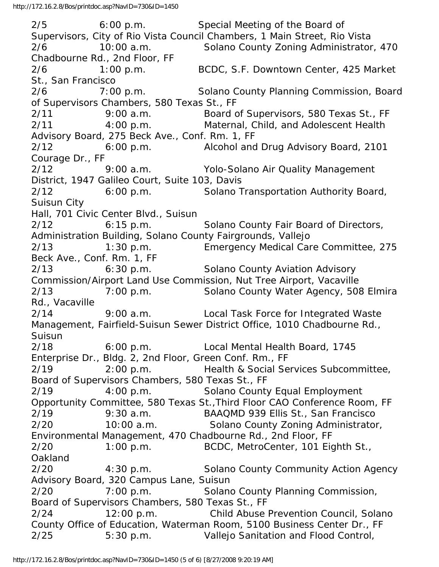2/5 6:00 p.m. Special Meeting of the Board of Supervisors, City of Rio Vista Council Chambers, 1 Main Street, Rio Vista 2/6 10:00 a.m. Solano County Zoning Administrator, 470 Chadbourne Rd., 2nd Floor, FF 2/6 1:00 p.m. BCDC, S.F. Downtown Center, 425 Market St., San Francisco 2/6 7:00 p.m. Solano County Planning Commission, Board of Supervisors Chambers, 580 Texas St., FF 2/11 9:00 a.m. Board of Supervisors, 580 Texas St., FF 2/11 4:00 p.m. Maternal, Child, and Adolescent Health Advisory Board, 275 Beck Ave., Conf. Rm. 1, FF 2/12 6:00 p.m. Alcohol and Drug Advisory Board, 2101 Courage Dr., FF 2/12 9:00 a.m. Yolo-Solano Air Quality Management District, 1947 Galileo Court, Suite 103, Davis 2/12 6:00 p.m. Solano Transportation Authority Board, Suisun City Hall, 701 Civic Center Blvd., Suisun 2/12 6:15 p.m. Solano County Fair Board of Directors, Administration Building, Solano County Fairgrounds, Vallejo 2/13 1:30 p.m. Emergency Medical Care Committee, 275 Beck Ave., Conf. Rm. 1, FF 2/13 6:30 p.m. Solano County Aviation Advisory Commission/Airport Land Use Commission, Nut Tree Airport, Vacaville 2/13 7:00 p.m. Solano County Water Agency, 508 Elmira Rd., Vacaville 2/14 9:00 a.m. Local Task Force for Integrated Waste Management, Fairfield-Suisun Sewer District Office, 1010 Chadbourne Rd., Suisun 2/18 6:00 p.m. Local Mental Health Board, 1745 Enterprise Dr., Bldg. 2, 2nd Floor, Green Conf. Rm., FF 2/19 2:00 p.m. Health & Social Services Subcommittee, Board of Supervisors Chambers, 580 Texas St., FF 2/19 4:00 p.m. Solano County Equal Employment Opportunity Committee, 580 Texas St.,Third Floor CAO Conference Room, FF 2/19 9:30 a.m. BAAQMD 939 Ellis St., San Francisco 2/20 10:00 a.m. Solano County Zoning Administrator, Environmental Management, 470 Chadbourne Rd., 2nd Floor, FF 2/20 1:00 p.m. BCDC, MetroCenter, 101 Eighth St., Oakland 2/20 4:30 p.m. Solano County Community Action Agency Advisory Board, 320 Campus Lane, Suisun 2/20 7:00 p.m. Solano County Planning Commission, Board of Supervisors Chambers, 580 Texas St., FF 2/24 12:00 p.m. Child Abuse Prevention Council, Solano County Office of Education, Waterman Room, 5100 Business Center Dr., FF 2/25 5:30 p.m. Vallejo Sanitation and Flood Control,